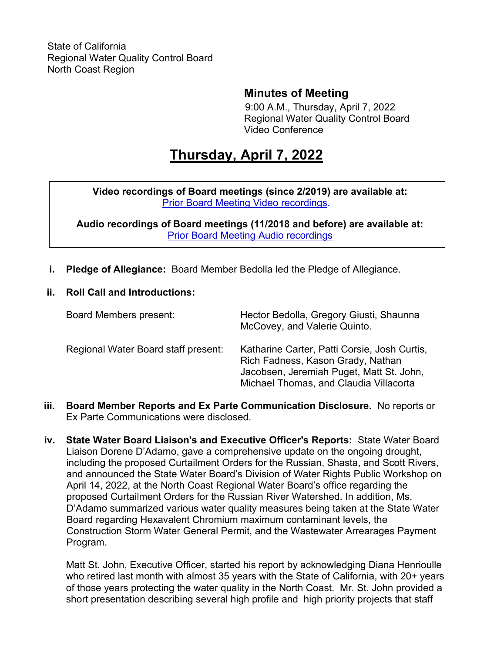# **Minutes of Meeting**

9:00 A.M., Thursday, April 7, 2022 Regional Water Quality Control Board Video Conference

# **Thursday, April 7, 2022**

**Video recordings of Board meetings (since 2/2019) are available at:** [Prior Board Meeting Video recordings](http://cal-span.org/).

**Audio recordings of Board meetings (11/2018 and before) are available at:** [Prior Board Meeting Audio recordings](https://www.waterboards.ca.gov/northcoast/board_info/board_meetings/)

- **i. Pledge of Allegiance:** Board Member Bedolla led the Pledge of Allegiance.
- **ii. Roll Call and Introductions:**

| Board Members present:              | Hector Bedolla, Gregory Giusti, Shaunna<br>McCovey, and Valerie Quinto.                                                                                                 |
|-------------------------------------|-------------------------------------------------------------------------------------------------------------------------------------------------------------------------|
| Regional Water Board staff present: | Katharine Carter, Patti Corsie, Josh Curtis,<br>Rich Fadness, Kason Grady, Nathan<br>Jacobsen, Jeremiah Puget, Matt St. John,<br>Michael Thomas, and Claudia Villacorta |

- **iii. Board Member Reports and Ex Parte Communication Disclosure.** No reports or Ex Parte Communications were disclosed.
- **iv. State Water Board Liaison's and Executive Officer's Reports:** State Water Board Liaison Dorene D'Adamo, gave a comprehensive update on the ongoing drought, including the proposed Curtailment Orders for the Russian, Shasta, and Scott Rivers, and announced the State Water Board's Division of Water Rights Public Workshop on April 14, 2022, at the North Coast Regional Water Board's office regarding the proposed Curtailment Orders for the Russian River Watershed. In addition, Ms. D'Adamo summarized various water quality measures being taken at the State Water Board regarding Hexavalent Chromium maximum contaminant levels, the Construction Storm Water General Permit, and the Wastewater Arrearages Payment Program.

Matt St. John, Executive Officer, started his report by acknowledging Diana Henrioulle who retired last month with almost 35 years with the State of California, with 20+ years of those years protecting the water quality in the North Coast. Mr. St. John provided a short presentation describing several high profile and high priority projects that staff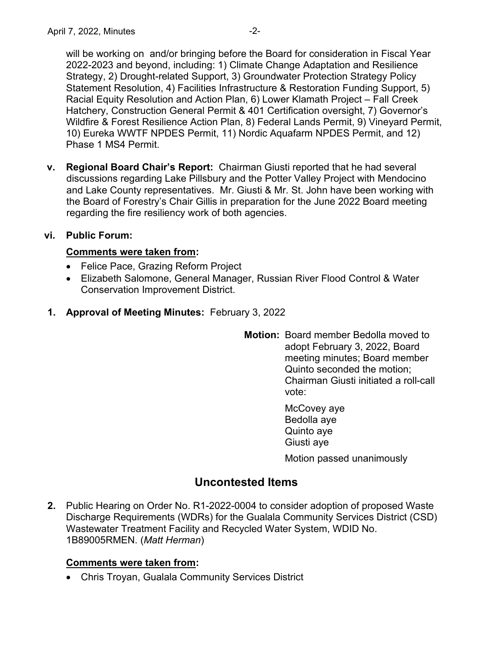will be working on and/or bringing before the Board for consideration in Fiscal Year 2022-2023 and beyond, including: 1) Climate Change Adaptation and Resilience Strategy, 2) Drought-related Support, 3) Groundwater Protection Strategy Policy Statement Resolution, 4) Facilities Infrastructure & Restoration Funding Support, 5) Racial Equity Resolution and Action Plan, 6) Lower Klamath Project – Fall Creek Hatchery, Construction General Permit & 401 Certification oversight, 7) Governor's Wildfire & Forest Resilience Action Plan, 8) Federal Lands Permit, 9) Vineyard Permit, 10) Eureka WWTF NPDES Permit, 11) Nordic Aquafarm NPDES Permit, and 12) Phase 1 MS4 Permit.

**v. Regional Board Chair's Report:** Chairman Giusti reported that he had several discussions regarding Lake Pillsbury and the Potter Valley Project with Mendocino and Lake County representatives. Mr. Giusti & Mr. St. John have been working with the Board of Forestry's Chair Gillis in preparation for the June 2022 Board meeting regarding the fire resiliency work of both agencies.

### **vi. Public Forum:**

#### **Comments were taken from:**

- Felice Pace, Grazing Reform Project
- · Elizabeth Salomone, General Manager, Russian River Flood Control & Water Conservation Improvement District.
- **1. Approval of Meeting Minutes:** February 3, 2022
	- **Motion:** Board member Bedolla moved to adopt February 3, 2022, Board meeting minutes; Board member Quinto seconded the motion; Chairman Giusti initiated a roll-call vote:
		- McCovey aye Bedolla aye Quinto aye Giusti aye Motion passed unanimously

## **Uncontested Items**

**2.** Public Hearing on Order No. R1-2022-0004 to consider adoption of proposed Waste Discharge Requirements (WDRs) for the Gualala Community Services District (CSD) Wastewater Treatment Facility and Recycled Water System, WDID No. 1B89005RMEN. (*Matt Herman*)

#### **Comments were taken from:**

· Chris Troyan, Gualala Community Services District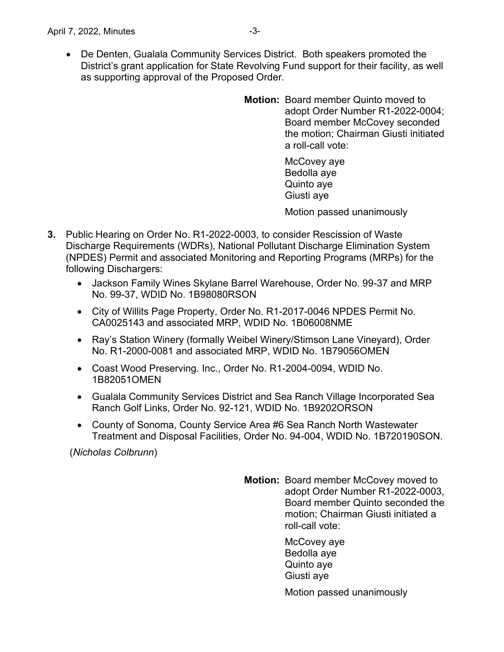- · De Denten, Gualala Community Services District. Both speakers promoted the District's grant application for State Revolving Fund support for their facility, as well as supporting approval of the Proposed Order.
	- **Motion:** Board member Quinto moved to adopt Order Number R1-2022-0004; Board member McCovey seconded the motion; Chairman Giusti initiated a roll-call vote:

McCovey aye Bedolla aye Quinto aye Giusti aye

Motion passed unanimously

- **3.** Public Hearing on Order No. R1-2022-0003, to consider Rescission of Waste Discharge Requirements (WDRs), National Pollutant Discharge Elimination System (NPDES) Permit and associated Monitoring and Reporting Programs (MRPs) for the following Dischargers:
	- · Jackson Family Wines Skylane Barrel Warehouse, Order No. 99-37 and MRP No. 99-37, WDID No. 1B98080RSON
	- · City of Willits Page Property, Order No. R1-2017-0046 NPDES Permit No. CA0025143 and associated MRP, WDID No. 1B06008NME
	- · Ray's Station Winery (formally Weibel Winery/Stimson Lane Vineyard), Order No. R1-2000-0081 and associated MRP, WDID No. 1B79056OMEN
	- · Coast Wood Preserving. Inc., Order No. R1-2004-0094, WDID No. 1B82051OMEN
	- · Gualala Community Services District and Sea Ranch Village Incorporated Sea Ranch Golf Links, Order No. 92-121, WDID No. 1B9202ORSON
	- County of Sonoma, County Service Area #6 Sea Ranch North Wastewater Treatment and Disposal Facilities, Order No. 94-004, WDID No. 1B720190SON.

(*Nicholas Colbrunn*)

**Motion:** Board member McCovey moved to adopt Order Number R1-2022-0003, Board member Quinto seconded the motion; Chairman Giusti initiated a roll-call vote:

> McCovey aye Bedolla aye Quinto aye Giusti aye

Motion passed unanimously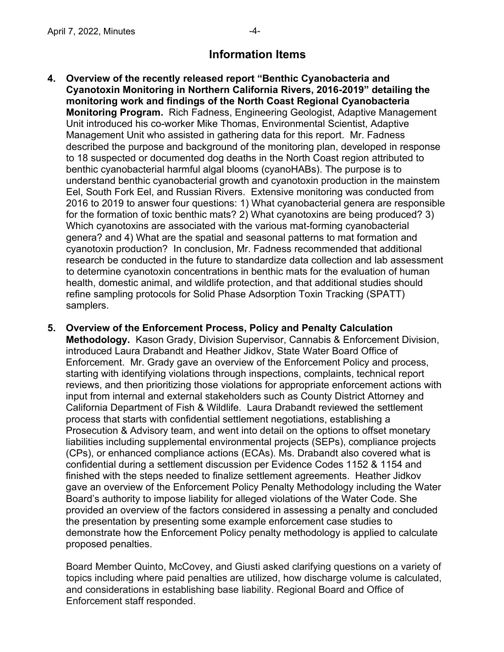## **Information Items**

- **4. Overview of the recently released report "Benthic Cyanobacteria and Cyanotoxin Monitoring in Northern California Rivers, 2016-2019" detailing the monitoring work and findings of the North Coast Regional Cyanobacteria Monitoring Program.** Rich Fadness, Engineering Geologist, Adaptive Management Unit introduced his co-worker Mike Thomas, Environmental Scientist, Adaptive Management Unit who assisted in gathering data for this report. Mr. Fadness described the purpose and background of the monitoring plan, developed in response to 18 suspected or documented dog deaths in the North Coast region attributed to benthic cyanobacterial harmful algal blooms (cyanoHABs). The purpose is to understand benthic cyanobacterial growth and cyanotoxin production in the mainstem Eel, South Fork Eel, and Russian Rivers. Extensive monitoring was conducted from 2016 to 2019 to answer four questions: 1) What cyanobacterial genera are responsible for the formation of toxic benthic mats? 2) What cyanotoxins are being produced? 3) Which cyanotoxins are associated with the various mat-forming cyanobacterial genera? and 4) What are the spatial and seasonal patterns to mat formation and cyanotoxin production? In conclusion, Mr. Fadness recommended that additional research be conducted in the future to standardize data collection and lab assessment to determine cyanotoxin concentrations in benthic mats for the evaluation of human health, domestic animal, and wildlife protection, and that additional studies should refine sampling protocols for Solid Phase Adsorption Toxin Tracking (SPATT) samplers.
- **5. Overview of the Enforcement Process, Policy and Penalty Calculation Methodology.** Kason Grady, Division Supervisor, Cannabis & Enforcement Division, introduced Laura Drabandt and Heather Jidkov, State Water Board Office of Enforcement. Mr. Grady gave an overview of the Enforcement Policy and process, starting with identifying violations through inspections, complaints, technical report reviews, and then prioritizing those violations for appropriate enforcement actions with input from internal and external stakeholders such as County District Attorney and California Department of Fish & Wildlife. Laura Drabandt reviewed the settlement process that starts with confidential settlement negotiations, establishing a Prosecution & Advisory team, and went into detail on the options to offset monetary liabilities including supplemental environmental projects (SEPs), compliance projects (CPs), or enhanced compliance actions (ECAs). Ms. Drabandt also covered what is confidential during a settlement discussion per Evidence Codes 1152 & 1154 and finished with the steps needed to finalize settlement agreements. Heather Jidkov gave an overview of the Enforcement Policy Penalty Methodology including the Water Board's authority to impose liability for alleged violations of the Water Code. She provided an overview of the factors considered in assessing a penalty and concluded the presentation by presenting some example enforcement case studies to demonstrate how the Enforcement Policy penalty methodology is applied to calculate proposed penalties.

Board Member Quinto, McCovey, and Giusti asked clarifying questions on a variety of topics including where paid penalties are utilized, how discharge volume is calculated, and considerations in establishing base liability. Regional Board and Office of Enforcement staff responded.